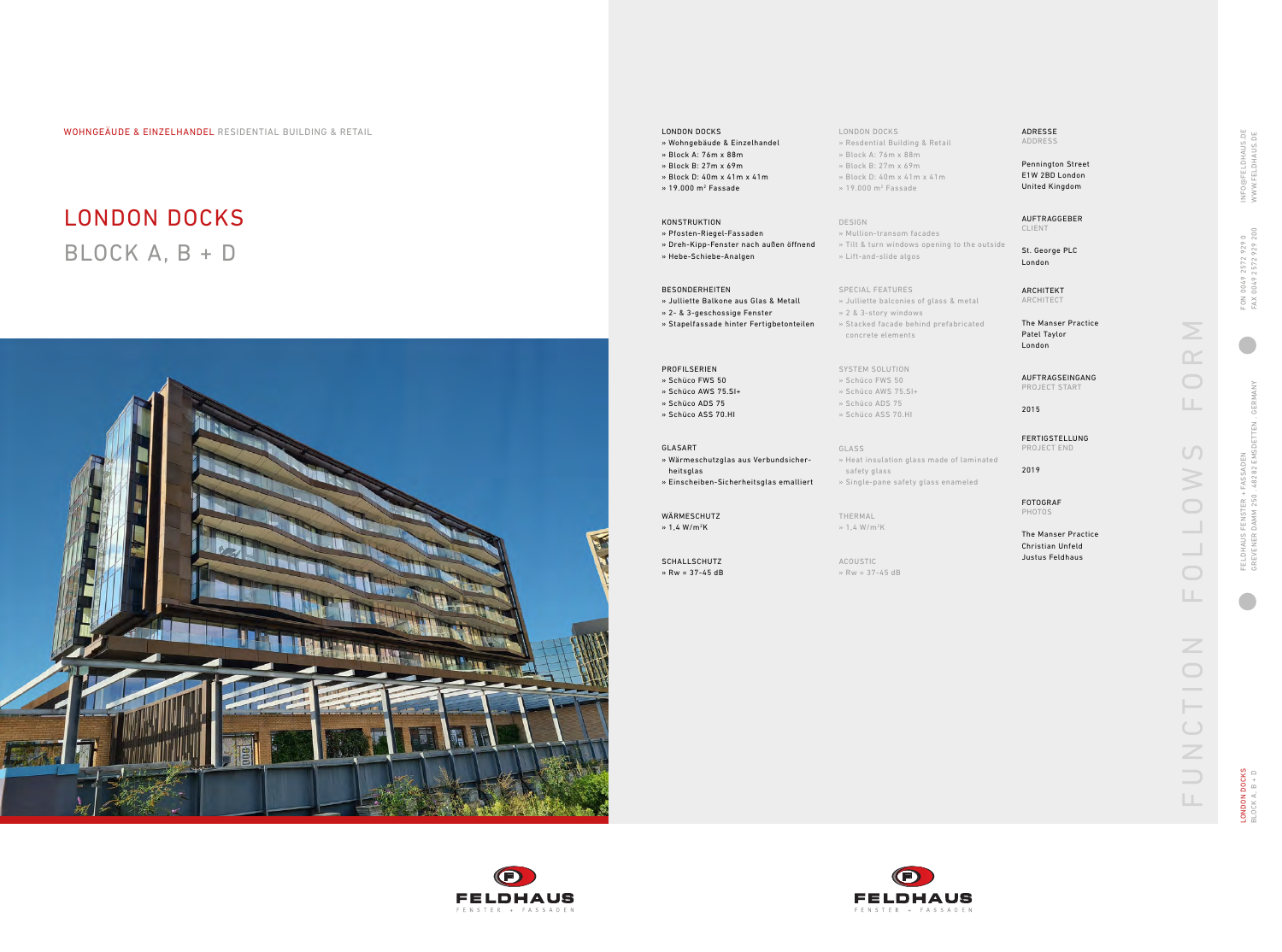# LONDON DOCKS BLOCK A, B + D



#### LONDON DOCKS » Resdential Building & Retail

- 
- » Block A: 76m x 88m » Block B: 27m x 69m
- » Block D: 40m x 41m x 41m
- » 19.000 m 2 Fassade

#### DESIGN

- » Mullion-transom facades » Tilt & turn windows opening to the outside
- » Lift-and-slide algos

### SPECIAL FEATURES

THERMAL  $\gg 1.4 W/m^2K$ 







- » Julliette balconies of glass & metal
- » 2 & 3-story windows

LONDON DOCKS<br>BLOCK A, B + D LONDON DOCKS BLOCK A, B + D

- » Stacked facade behind prefabricated
	- concrete elements

# SYSTEM SOLUTION

» Schüco FWS 50

# » Schüco AWS 75.SI+

- » Schüco ADS 75
- » Schüco ASS 70.HI

GLASS

» Heat insulation glass made of laminated

safety glass

» Single-pane safety glass enameled

ACOUSTIC » Rw = 37-45 dB

WÄRMESCHUTZ  $\frac{1}{4}$  W/m<sup>2</sup>K



WOHNGEÄUDE & EINZELHANDEL RESIDENTIAL BUILDING & RETAIL LONDON DOCKS

- » Wohngebäude & Einzelhandel
- » Block A: 76m x 88m
- » Block B: 27m x 69m
- » Block D: 40m x 41m x 41m
- » 19.000 m 2 Fassade

### KONSTRUKTION

- » Pfosten-Riegel-Fassaden » Dreh-Kipp-Fenster nach außen öffnend
- » Hebe-Schiebe-Analgen

#### BESONDERHEITEN

- » Julliette Balkone aus Glas & Metall
- » 2- & 3-geschossige Fenster
- » Stapelfassade hinter Fertigbetonteilen

#### PROFILSERIEN

- » Schüco FWS 50
- » Schüco AWS 75.SI+
- » Schüco ADS 75
- » Schüco ASS 70.HI

#### GLASART

- » Wärmeschutzglas aus Verbundsicher-
- heitsglas
- » Einscheiben-Sicherheitsglas emalliert

SCHALLSCHUTZ » Rw = 37-45 dB

#### ADRESSE ADDRESS

Pennington Street E1W 2BD London United Kingdom

AUFTRAGGEBER CLIENT

St. George PLC London

ARCHITEKT ARCHITECT

The Manser Practice Patel Taylor London

AUFTRAGSEINGANG PROJECT START

2015

FERTIGSTELLUNG PROJECT END

2019

FOTOGRAF PHOTOS

The Manser Practice Christian Unfeld Justus Feldhaus

 $\geq$ FUNCTION FOLLOWS FORM  $\bigcirc$  $\mathbb{H}$  .  $\cup$  $\geqslant$  $\bigcirc$  $\bigcirc$  $\Box$ Z  $\bigcirc$ UNCTI  $\Box$